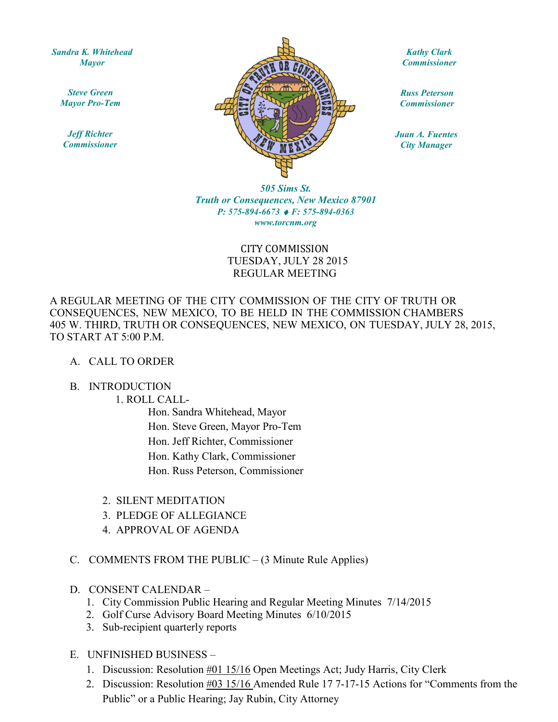*Sandra K. Whitehead Mayor* 

*Steve Green Mayor Pro-Tem* 

*Jeff Richter Commissioner* 



*Kathy Clark Commissioner* 

*Russ Peterson Commissioner* 

*Juan A. Fuentes City Manager* 

*505 Sims St. Truth or Consequences, New Mexico 87901 P: 575-894-6673* ♦ *F: 575-894-0363 www.torcnm.org* 

## CITY COMMISSION TUESDAY, JULY 28 2015 REGULAR MEETING

A REGULAR MEETING OF THE CITY COMMISSION OF THE CITY OF TRUTH OR CONSEQUENCES, NEW MEXICO, TO BE HELD IN THE COMMISSION CHAMBERS 405 W. THIRD, TRUTH OR CONSEQUENCES, NEW MEXICO, ON TUESDAY, JULY 28, 2015, TO START AT 5:00 P.M.

### A. CALL TO ORDER

#### B. INTRODUCTION

#### 1. ROLL CALL-

Hon. Sandra Whitehead, Mayor Hon. Steve Green, Mayor Pro-Tem Hon. Jeff Richter, Commissioner Hon. Kathy Clark, Commissioner Hon. Russ Peterson, Commissioner

- 2. SILENT MEDITATION
- 3. PLEDGE OF ALLEGIANCE
- 4. APPROVAL OF AGENDA
- C. COMMENTS FROM THE PUBLIC (3 Minute Rule Applies)
- D. CONSENT CALENDAR
	- 1. City Commission Public Hearing and Regular Meeting Minutes 7/14/2015
	- 2. Golf Curse Advisory Board Meeting Minutes 6/10/2015
	- 3. Sub-recipient quarterly reports

### E. UNFINISHED BUSINESS –

- 1. Discussion: Resolution #01 15/16 Open Meetings Act; Judy Harris, City Clerk
- 2. Discussion: Resolution  $\frac{\text{\#03 15}}{16}$  Amended Rule 17 7-17-15 Actions for "Comments from the Public" or a Public Hearing; Jay Rubin, City Attorney